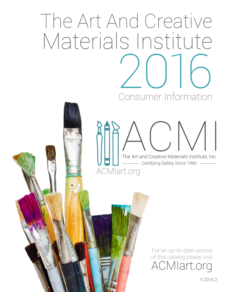# The Art And Creative Materials Institute 2016 Consumer Information

[ACMIart.org](acmiart.org)  $|\triangle(\cdot)\triangle/\|$ The Art and Creative Materials Institute, Inc. - Certifying Safety Since 1940

> For an up-to-date version of this catalog please visit [ACMIart.org](http://ACMIart.org)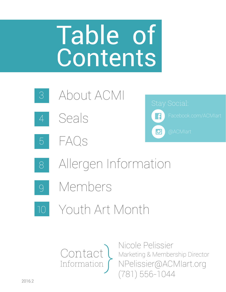# Table of **Contents**







[8](#page-7-0)6



- [Allergen Information](#page-7-0)
- [9](#page-8-0) [Members](#page-8-0)
	- [Youth Art Month](#page-9-0)



Nicole Pelissier Marketing & Membership Director [NPelissier@ACMIart.org](mailto:NPelissier%40ACMIart.org?subject=) (781) 556-1044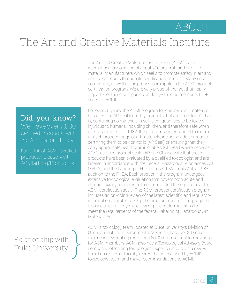#### ABOUT

## <span id="page-2-0"></span>The Art and Creative Materials Institute

The Art and Creative Materials Institute, Inc. (ACMI) is an international association of about 200 art, craft and creative material manufacturers which seeks to promote safety in art and creative products through its certification program. Many small companies, as well as large ones, participate in the ACMI product certification program. We are very proud of the fact that nearly a quarter of these companies are long-standing members (20+ years) of ACMI.

Did you know? We have over 7,000 the AP Seal or CL Seal.

For a list of ACMI Certified [ACMIart.org/P](http://ACMIart.org/Products)roductList

Relationship with<br>Duke University Duke University

For over 75 years, the ACMI program for children's art materials has used the AP Seal to certify products that are "non-toxic" (that is, containing no materials in sufficient quantities to be toxic or injurious to humans, including children, and therefore safe when used as directed). In 1982, the program was expanded to include a much broader range of art materials, including adult products, certifying them to be non-toxic (AP Seal) or ensuring that they carry appropriate health warning labels (CL Seal) where necessary. ACMI-certified product seals (AP and CL) indicate that these products have been evaluated by a qualified toxicologist and are labeled in accordance with the Federal Hazardous Substances Act (FHSA) and the Labeling of Hazardous Art Materials Act, a 1988 addition to the FHSA. Each product in the program undergoes extensive toxicological evaluation that covers both acute and chronic toxicity concerns before it is granted the right to bear the ACMI certification seals. The ACMI product certification program includes an on-going review of the latest scientific and regulatory information available to keep the program current. The program also includes a five-year review of product formulations to meet the requirements of the federal Labeling of Hazardous Art Materials Act.

ACMI's toxicology team, located at Duke University's Division of Occupational and Environmental Medicine, has over 30 years' experience evaluating more than 60,000 art material formulations for ACMI members. ACMI also has a Toxicological Advisory Board composed of leading toxicological experts who act as a review board on issues of toxicity, review the criteria used by ACMI's toxicologist team and make recommendations to ACMI.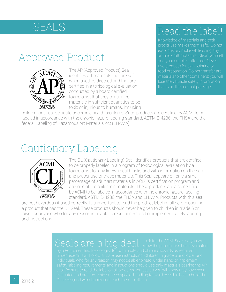#### <span id="page-3-0"></span>SEALS

#### Approved Product



The AP (Approved Product) Seal identifies art materials that are safe when used as directed and that are certified in a toxicological evaluation conducted by a board certified toxicologist that they contain no materials in sufficient quantities to be toxic or injurious to humans, including

#### Read the label!

Knowledge of materials and their eat, drink or smoke while using any art and craft materials. Clean yourself use products for skin painting or materials to other containers; you will lose the valuable safety information that is on the product package.

children, or to cause acute or chronic health problems. Such products are certified by ACMI to be labeled in accordance with the chronic hazard labeling standard, ASTM D 4236, the FHSA and the federal Labeling of Hazardous Art Materials Act (LHAMA).

#### Cautionary Labeling



The CL (Cautionary Labeling) Seal identifies products that are certified to be properly labeled in a program of toxicological evaluation by a toxicologist for any known health risks and with information on the safe and proper use of these materials. This Seal appears on only a small percentage of adult art materials in ACMI's certification program and on none of the children's materials. These products are also certified by ACMI to be labeled in accordance with the chronic hazard labeling standard, ASTM D 4236, the FHSA and LHAMA. Products with this seal

are not hazardous if used correctly. It is important to read the product label in full before opening a product that has the CL Seal. These products should never be given to children in grade 6 or lower, or anyone who for any reason is unable to read, understand or implement safety labeling and instructions.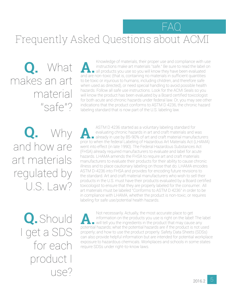#### <span id="page-4-0"></span>FAQ

## Frequently Asked Questions about ACMI

Q. What makes an art material "safe"?

Knowledge of materials, their proper use and compliance with use<br>instructions make art materials "safe." Be sure to read the label on<br>all products you use so you will know they have been evaluated<br>and are pop-toxic (that i instructions make art materials "safe." Be sure to read the label on all products you use so you will know they have been evaluated and are non-toxic (that is, containing no materials in sufficient quantities to be toxic or injurious to humans, including children, and therefore safe when used as directed), or need special handling to avoid possible health hazards. Follow all safe use instructions. Look for the ACMI Seals so you will know the product has been evaluated by a Board certified toxicologist for both acute and chronic hazards under federal law. Or, you may see other indications that the product conforms to ASTM D 4236, the chronic hazard labeling standard that is now part of the U.S. labeling law.

Why and how are art materials regulated by U.S. Law? **Q.**

ASTM D 4236 started as a voluntary labeling standard for<br>
already in use by 85-90% of art and craft material manufacturers<br>
arior to when the federal Labeling of Hazardous Art Materials Act (LHAMA) evaluating chronic hazards in art and craft materials and was prior to when the federal Labeling of Hazardous Art Materials Act (LHAMA) went into effect (in late 1990). The Federal Hazardous Substances Act (FHSA) already required manufacturers to evaluate and label for acute hazards. LHAMA amends the FHSA to require art and craft materials manufacturers to evaluate their products for their ability to cause chronic illness and to place cautionary labeling on those that do. LHAMA encodes ASTM D-4236 into FHSA and provides for encoding future revisions to the standard. Art and craft material manufacturers who wish to sell their products in the U.S. must have their products evaluated by a Board certified toxicologist to ensure that they are properly labeled for the consumer. All art materials must be labeled "Conforms to ASTM D 4236" in order to be in compliance with LHAMA, whether the product is non-toxic, or requires labeling for safe use/potential health hazards.

**Q.** Should I get a SDS for each product I use?

Not necessarily. Actually, the most accurate place to get<br>information on the products you use is right on the label!<br>what the product in the product that may cause<br>potential hazards: what the product hazards are if the pro information on the products you use is right on the label! The label  $\blacksquare$  will tell you the ingredients in the product that may cause any potential hazards; what the potential hazards are if the product is not used properly; and how to use the product properly. Safety Data Sheets (SDSs) can also provide helpful information but are intended for potential workplace exposure to hazardous chemicals. Workplaces and schools in some states require SDSs under right-to-know laws.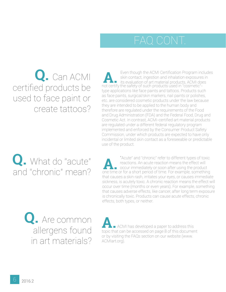### FAQ CONT.

**Q.** Can ACMI certified products be used to face paint or create tattoos?

Even though the ACMI Certification Program includes<br>skin contact, ingestion and inhalation exposures in<br>its evaluation of art material products, ACMI does skin contact, ingestion and inhalation exposures in not certify the safety of such products used in "cosmetic"type applications like face paints and tattoos. Products such as face paints, surgical/skin markers, nail paints or polishes, etc. are considered cosmetic products under the law because they are intended to be applied to the human body and therefore are regulated under the requirements of the Food and Drug Administration (FDA) and the Federal Food, Drug and Cosmetic Act. In contrast, ACMI-certified art material products are regulated under a different federal regulatory program implemented and enforced by the Consumer Product Safety Commission, under which products are expected to have only incidental or limited skin contact as a foreseeable or predictable use of the product.

**Q.** What do "acute"  $\overline{\phantom{a}}$  "Acute" and "chronic" refer to different types of toxic reactions. An acute reaction means the effect will<br>and "chronic" mean? The annumediately or soon after using the product<br>that causes reactions. An acute reaction means the effect will occur immediately or soon after using the product one time or for a short period of time. For example, something that causes a skin rash, irritates your eyes, or causes immediate sickness, is acutely toxic. A chronic reaction means the effect will occur over time (months or even years). For example, something that causes adverse effects, like cancer, after long term exposure is chronically toxic. Products can cause acute effects, chronic effects, both types, or neither.

**Q.** Are common allergens found in art materials?

**ACMI** has developed a paper to address this topic that can be accessed on page 8 of this document or by visiting the FAQs section on our website (www. ACMIart.org).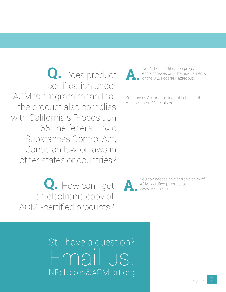**Q.** Does product certification under ACMI's program mean that the product also complies with California's Proposition 65, the federal Toxic Substances Control Act, Canadian law, or laws in other states or countries?

 **Q.** How can I get an electronic copy of ACMI-certified products?

No. ACMI's certification program<br>encompasses only the requirement<br>of the U.S. Federal Hazardous encompasses only the requirements of the U.S. Federal Hazardous

Substances Act and the federal Labeling of Hazardous Art Materials Act.

**A.** You can access an electronic copy of ACMI-certified products at www.acminet.org.

Still have a question? Email us! [NPelissier@ACMIart.org](mailto:NPelissier%40ACMIart.org?subject=)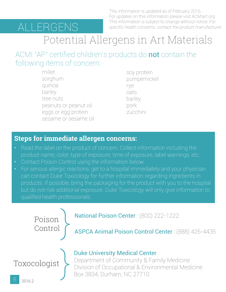# <span id="page-7-0"></span>ALLERGENS

This information is updated as of February 2016. For updates on this information please visit ACMIart.org This information is subject to change without notice. For specific health concerns, contact the product manufacturer.

# Potential Allergens in Art Materials

ACMI "AP" certified children's products do not contain the following items of concern:

> millet sorghum quinoa barley tree nuts peanuts or peanut oil eggs or egg protein sesame or sesame oil

 soy protein pumpernickel rye oats barley pork zucchini

#### **Steps for immediate allergen concerns:**

- Read the label on the product of concern. Collect information including the product name, color, type of exposure, time of exposure, label warnings, etc.
- Contact Poison Control using the information below.
- For serious allergic reactions, get to a hospital immediately and your physician can contact Duke Toxicology for further information regarding ingredients in but do not risk additional exposure. Duke Toxicology will only give information to qualified health professionals.

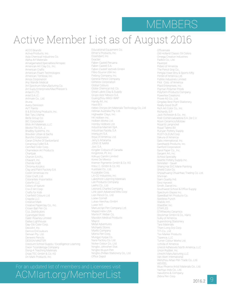#### MEMBERS

#### <span id="page-8-0"></span>Active Member List as of August 2016

ACCO Brands Activa Products, Inc. Aida Chemical Industries Co. Alpha Art Materials Amalgamated Specialties/Amspec American Art Clay Co., Inc. American Crafts American Foam Technologies American Tombow, Inc. Amos Corporation Anji Wande Medical Art Spectrum Manufacturing Co. Art Suply Enterprises/MacPherson's Artarch LTD. Artel S.A.I.C. Artmate Co., Ltd. Aruna Avery Dennison AVT Paints B & B Etching Products, Inc. Bali Taru Utama Beifa Group Co. BIC Corporation Blick Art Materials, LLC Blockx Fils S.A., J. Bradley Systems, Inc. Brevillier Urban & Sachs Buncho Corporation Caran D'Ache Of Switzerland Ceramica Collet S.A. Certified Color Corp. Chameleon Art Products Chartpak Charvin S.A.R.L Chavant, Inc. Chenille Kraft Chroma Acrylics Clay and Paint Factory S.A. ColArt Americas Inc Color Craft, Ltd. Colorantes Importados Colorfin LLC Colors of Nature Cra-Z-Art Corp. Crafts for Kids Cranfield Colours Ltd Crayola LLC Creative Mark Creative Paperclay Co., Inc. Crown Ball Pen Co. CUL Distributors Cyanotype Store Daler-Rowney Limited Dallas Lighthouse Day-Glo Color Corp. DecoArt, Inc. Demco EnCouleurs Derivan Pty. Ltd. Derwent Pencils DESIGN MASTER Discount School Supply / Excelligence Learning Dixon Ticonderoga Company Dong-A Teaching Materials Draw.TEC GmbH & Co. KG Dri Mark Products, Inc.

Educational Equipment Co. Elmer's Products, Inc. Essendant, Inc. Exaclair Faber-Castell Peruana Faber-Castell S.A. Faber-Castell Vertrieb GmbH Fibro Source USA Inc. Fiebing Company, Inc. General Pencil Company Glitterex Corporation Global Colours Globe Chemical Ind. Co. Great Lakes Clay & Supply Grupo Azor Mexico S.A. GuangZhou MAGI-WAP Handy Art, Inc. Havo B.V. Hebei Chinjoo Art Materials Technology Co, Ltd Helmar Australia Pty. Ltd. Highwater Clays, Inc. HK Holbein Inc. Holbein Works Ltd. Hornby Hobbies Ltd. Industria Maimeri SpA Industrias Facela, S.A Interquim S.A. Itoya Of America, Ltd. Jerry's Artarama JONG IE NARA Jovi, S.A. Kingder Colours of Canada Kingstone, Pt. Inc. Kokuyo Camlin Limited Kores De Mexico Kremer Pigmente GmbH & Co. KG Kreul, C. GmbH & Co. KG Kuretake Co., Ltd. Kusakabe Corp. LA-CO Industries, Inc. Lakeshore Learning Materials Lee Products Company Leeho Co., Ltd. Leonard, Charles Company Link Upon Advanced Mtls Corp Lion Pencil Co., Ltd. Loew-Cornell Lukas-Nerchau GmbH Luxor Int'l Manuscript Pen Company Ltd. Maped Helix USA Martin/F. Weber Co. Mavidon Medical Products Mayco Metal Adventures Michaels Stores Mijello Company Morris Pen Corp. Mungyo Kyojai Co. Nara Factory Co. Ltd Nicker Colour Co., Ltd. Ningbo Johnshen Stat. Ningbo Wuyun Pen Ningbo ZhiBao Stationery Co., Ltd. Office Depot

#### For an updated list of members and Licensees visit [ACMIart.org/MemberL](http://ACMIart.org/Members)ist

Officemate Old Holland Classic Oil Colors Omega Creative Industries Padico Co., Ltd. Paverpol Pebeo of America The Pencil Grip Co., Penglai Hiwe Stny & Sports Mfg Pentel of America Ltd. Pidilite Industries Limited Pilot Corp. of America Plaid Enterprises, Inc. Pojman Polymer Prods Polyform Products Company Powertex Creations Privee AG Co., Ltd. Qingdao Best Point Stationery Really Good Stuff Rich Art Color Co., Inc. Richards, S.P. Jack Richeson & Co., Inc. Roel Comercializadora S.A. De C.V. Rovin Ceramics/Motowi Royal & Langnickel Royal Talens BV Runyan Pottery Supply RUST-OLEUM Corp Sakura of America Salis International, Inc. Sandtastik Products, Inc. Sanford Corporation Saral Paper Co., Inc. Sargent Art, Inc. School Specialty Seattle Pottery Supply Inc. Sennelier - Sauer Shang Hai SIIC Marie Painting Shield Color Co. Shijiazhuang Chuanhao Trading Co. Ltd. ShinHan Siam Quality Ind. Sino Harvest Smith, Daniel Inc. Southwest School & Office Supply Spectrum Glazes Inc. Speedball Art Products Co. Spotless Punch Stabilo Int'l. Staedtler, Inc. STAPLES STARworks Ceramics Stockmar GmbH & Co., Hans Sulky of America Superstrong Stationery Tara Materials Thien Long Grp Corp TiTi Co., Ltd Too Marker Products Topenca, LLC Turner Colour Works Ltd. Uchida of America Unecol Adhesives North America, LLC Union Rubber, Inc. Utrecht Manufacturing LLC Van Aken International Wenzhou Aihao Pen Trade Co., Ltd. WEVEEL Wuxi Phoenix Artist Materials Co., Ltd. Yachiyo Inds Co., Ltd. Yasutomo & Company Zebra Pen Corp.

2016.2